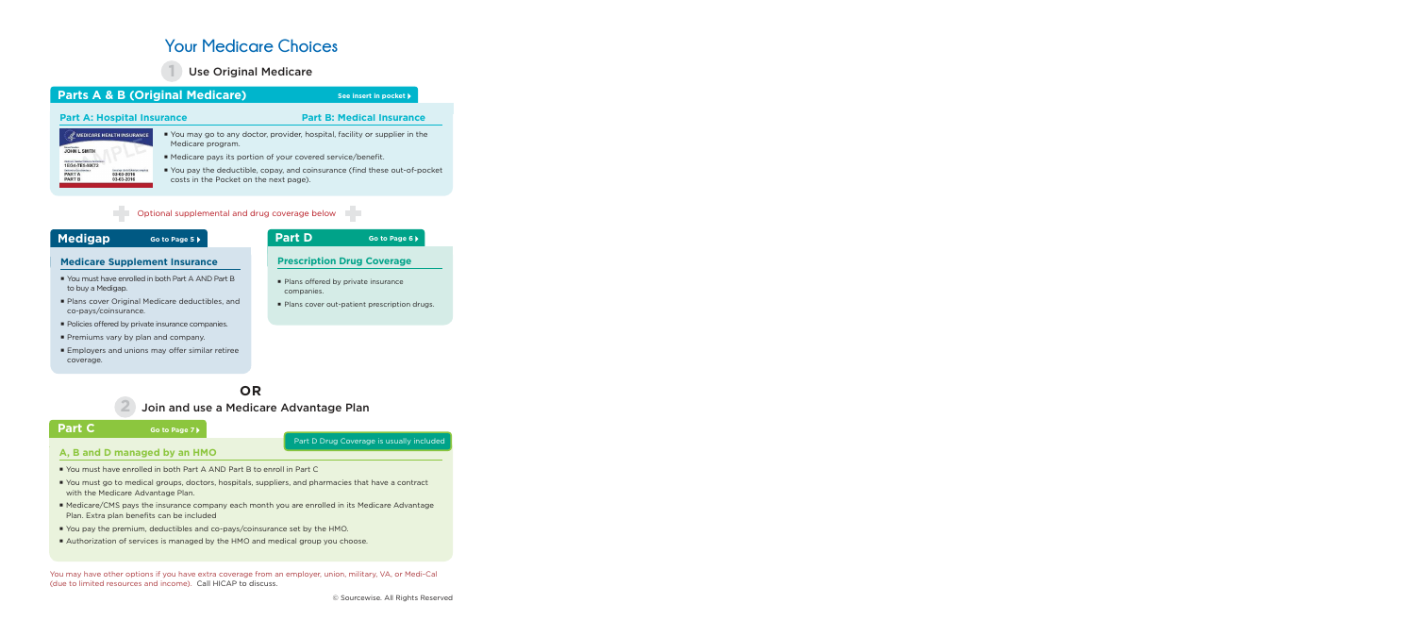# **Your Medicare Choices**

Use Original Medicare

### **Parts A & B (Original Medicare)** See insert in pocket **P**

**1**

#### **Part A: Hospital Insurance Part B: Medical Insurance**

#### You may go to any doctor, provider, hospital, facility or supplier in the Medicare program.

- Medicare pays its portion of your covered service/benefit.
- You pay the deductible, copay, and coinsurance (find these out-of-pocket costs in the Pocket on the next page).

#### Optional supplemental and drug coverage below

#### **Medigap Go to Page 5** ▶

**Go to Page 5**

#### **Medicare Supplement Insurance**

- You must have enrolled in both Part A AND Part B to buy a Medigap.
- Plans cover Original Medicare deductibles, and co-pays/coinsurance.
- **Policies offered by private insurance companies.**
- **Premiums vary by plan and company.**
- **Employers and unions may offer similar retiree** coverage.

#### **Part D Go to Page 6**<sup> $\bullet$ </sup>

#### **Prescription Drug Coverage**

- Plans offered by private insurance companies.
- **Plans cover out-patient prescription drugs.**

## **OR**

#### Join and use a Medicare Advantage Plan

#### **Part C**

#### **Go to Page 7**

Part D Drug Coverage is usually included

### **A, B and D managed by an HMO**

- You must have enrolled in both Part A AND Part B to enroll in Part C
- You must go to medical groups, doctors, hospitals, suppliers, and pharmacies that have a contract with the Medicare Advantage Plan.
- Medicare/CMS pays the insurance company each month you are enrolled in its Medicare Advantage Plan. Extra plan benefits can be included
- You pay the premium, deductibles and co-pays/coinsurance set by the HMO.
- Authorization of services is managed by the HMO and medical group you choose.

You may have other options if you have extra coverage from an employer, union, military, VA, or Medi-Cal (due to limited resources and income). Call HICAP to discuss.

#### MEDICARE HEALTH INSURANCE **JOHN L SMITH** 1EG4-TE5-MK72 PART A 03-03-2016 PART B 03-03-2016

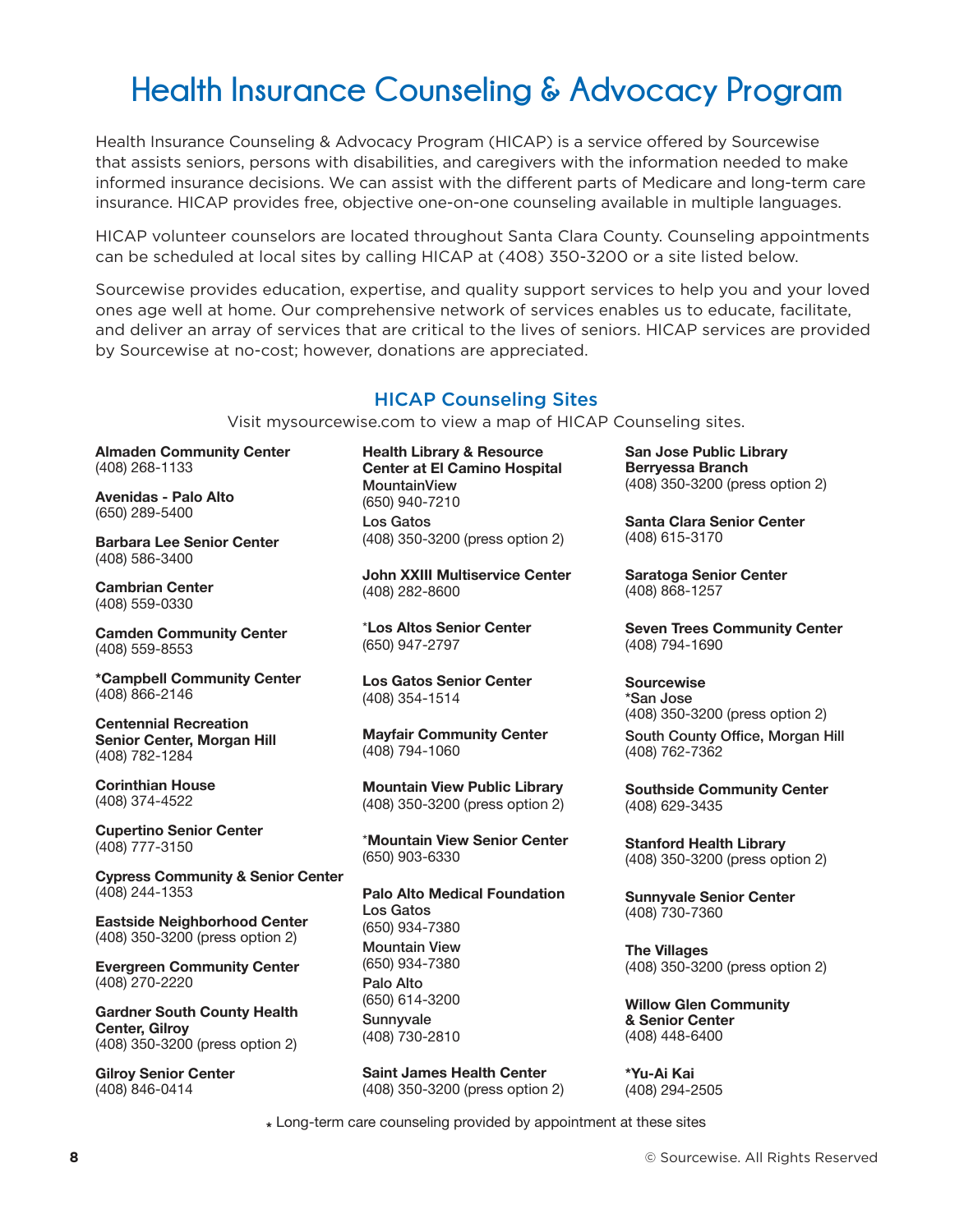# **Health Insurance Counseling & Advocacy Program**

Health Insurance Counseling & Advocacy Program (HICAP) is a service offered by Sourcewise that assists seniors, persons with disabilities, and caregivers with the information needed to make informed insurance decisions. We can assist with the different parts of Medicare and long-term care insurance. HICAP provides free, objective one-on-one counseling available in multiple languages.

HICAP volunteer counselors are located throughout Santa Clara County. Counseling appointments can be scheduled at local sites by calling HICAP at (408) 350-3200 or a site listed below.

Sourcewise provides education, expertise, and quality support services to help you and your loved ones age well at home. Our comprehensive network of services enables us to educate, facilitate, and deliver an array of services that are critical to the lives of seniors. HICAP services are provided by Sourcewise at no-cost; however, donations are appreciated.

#### HICAP Counseling Sites

Visit mysourcewise.com to view a map of HICAP Counseling sites.

**Almaden Community Center** (408) 268-1133

**Avenidas - Palo Alto** (650) 289-5400

**Barbara Lee Senior Center** (408) 586-3400

**Cambrian Center** (408) 559-0330

**Camden Community Center** (408) 559-8553

**\*Campbell Community Center** (408) 866-2146

**Centennial Recreation Senior Center, Morgan Hill** (408) 782-1284

**Corinthian House** (408) 374-4522

**Cupertino Senior Center** (408) 777-3150

**Cypress Community & Senior Center** (408) 244-1353

**Eastside Neighborhood Center** (408) 350-3200 (press option 2)

**Evergreen Community Center** (408) 270-2220

**Gardner South County Health Center, Gilroy** (408) 350-3200 (press option 2)

**Gilroy Senior Center** (408) 846-0414

**Health Library & Resource Center at El Camino Hospital MountainView** (650) 940-7210 Los Gatos (408) 350-3200 (press option 2)

**John XXIII Multiservice Center** (408) 282-8600

\***Los Altos Senior Center** (650) 947-2797

**Los Gatos Senior Center** (408) 354-1514

**Mayfair Community Center**  (408) 794-1060

**Mountain View Public Library** (408) 350-3200 (press option 2)

\***Mountain View Senior Center** (650) 903-6330

**Palo Alto Medical Foundation** Los Gatos (650) 934-7380 Mountain View (650) 934-7380 Palo Alto (650) 614-3200 Sunnyvale (408) 730-2810

**Saint James Health Center**  (408) 350-3200 (press option 2) **San Jose Public Library Berryessa Branch** (408) 350-3200 (press option 2)

**Santa Clara Senior Center** (408) 615-3170

**Saratoga Senior Center** (408) 868-1257

**Seven Trees Community Center** (408) 794-1690

**Sourcewise**  \*San Jose (408) 350-3200 (press option 2) South County Office, Morgan Hill (408) 762-7362

**Southside Community Center** (408) 629-3435

**Stanford Health Library** (408) 350-3200 (press option 2)

**Sunnyvale Senior Center** (408) 730-7360

**The Villages** (408) 350-3200 (press option 2)

**Willow Glen Community & Senior Center** (408) 448-6400

**\*Yu-Ai Kai** (408) 294-2505

**\*** Long-term care counseling provided by appointment at these sites